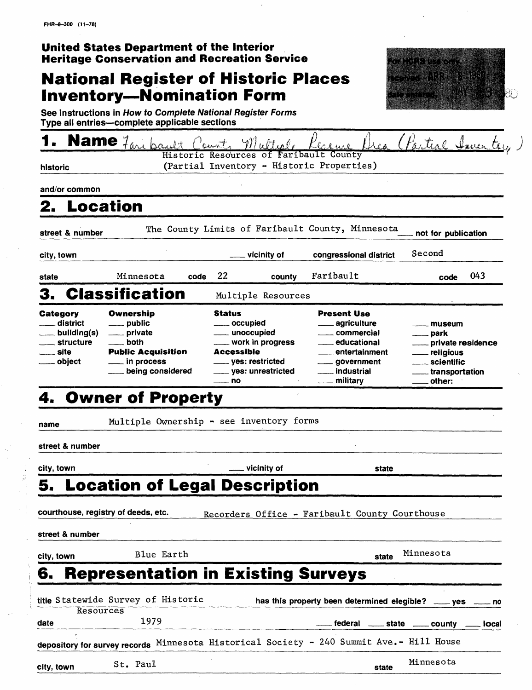| United States Department of the Interior |                                                     |
|------------------------------------------|-----------------------------------------------------|
|                                          | <b>Heritage Conservation and Recreation Service</b> |

# **National Register of Historic Places Inventory—Nomination Form**



**See instructions in How to Complete National Register Forms Type all entries complete applicable sections**

|                                                                                   | Name 7 ani baggli                                                                                                             |                                                                                          | Multiple                                                                 | Keaue                                                                                                                                                      | Crea (Partial Imen                                                                                                                              |  |
|-----------------------------------------------------------------------------------|-------------------------------------------------------------------------------------------------------------------------------|------------------------------------------------------------------------------------------|--------------------------------------------------------------------------|------------------------------------------------------------------------------------------------------------------------------------------------------------|-------------------------------------------------------------------------------------------------------------------------------------------------|--|
| historic                                                                          |                                                                                                                               |                                                                                          |                                                                          | Historic Resources of Faribault County<br>(Partial Inventory - Historic Properties)                                                                        |                                                                                                                                                 |  |
| and/or common                                                                     |                                                                                                                               |                                                                                          |                                                                          |                                                                                                                                                            |                                                                                                                                                 |  |
|                                                                                   | <b>Location</b>                                                                                                               |                                                                                          |                                                                          |                                                                                                                                                            |                                                                                                                                                 |  |
| street & number                                                                   |                                                                                                                               |                                                                                          |                                                                          | The County Limits of Faribault County, Minnesota                                                                                                           | not for publication                                                                                                                             |  |
| city, town                                                                        |                                                                                                                               |                                                                                          | vicinity of                                                              | congressional district                                                                                                                                     | Second                                                                                                                                          |  |
| state                                                                             | Minnesota<br>code                                                                                                             | 22                                                                                       | county                                                                   | Faribault                                                                                                                                                  | 043<br>code                                                                                                                                     |  |
| 3.                                                                                | <b>Classification</b>                                                                                                         |                                                                                          | Multiple Resources                                                       |                                                                                                                                                            |                                                                                                                                                 |  |
| Category<br>district<br>building(s)<br>structure<br>_ site<br><sub>—</sub> object | Ownership<br>__ public<br><u>__</u> ___ private<br>both<br><b>Public Acquisition</b><br>__ in process<br>___ being considered | <b>Status</b><br><u>_</u> ___ occupied<br>_____ unoccupied<br><b>Accessible</b><br>—— no | ____ work in progress<br>_____ yes: restricted<br>____ yes: unrestricted | <b>Present Use</b><br>____ agriculture<br>____ commercial<br>___ educational<br>__ entertainment<br><sub>—</sub> government<br>____ industrial<br>military | museum<br>park<br><sub>-----</sub> private residence<br><sub>___</sub> religious<br>____ scientific<br><sub>____</sub> transportation<br>other: |  |
| name<br>street & number                                                           | Multiple Ownership - see inventory forms                                                                                      |                                                                                          |                                                                          |                                                                                                                                                            |                                                                                                                                                 |  |
| city, town                                                                        |                                                                                                                               |                                                                                          | vicinity of                                                              | state                                                                                                                                                      |                                                                                                                                                 |  |
|                                                                                   | 5. Location of Legal Description                                                                                              |                                                                                          |                                                                          |                                                                                                                                                            |                                                                                                                                                 |  |
| street & number                                                                   | courthouse, registry of deeds, etc.                                                                                           |                                                                                          |                                                                          | Recorders Office - Faribault County Courthouse                                                                                                             |                                                                                                                                                 |  |
| city, town                                                                        | Blue Earth                                                                                                                    |                                                                                          |                                                                          | state                                                                                                                                                      | Minnesota                                                                                                                                       |  |
| 6.                                                                                | <b>Representation in Existing Surveys</b>                                                                                     |                                                                                          |                                                                          |                                                                                                                                                            |                                                                                                                                                 |  |
|                                                                                   | title Statewide Survey of Historic                                                                                            |                                                                                          |                                                                          | has this property been determined elegible? __ yes                                                                                                         |                                                                                                                                                 |  |
| Resources                                                                         | 1979                                                                                                                          |                                                                                          |                                                                          |                                                                                                                                                            |                                                                                                                                                 |  |
| date                                                                              |                                                                                                                               |                                                                                          |                                                                          | federal _____ state _____ county _                                                                                                                         | <b>local</b>                                                                                                                                    |  |
|                                                                                   |                                                                                                                               |                                                                                          |                                                                          | depository for survey records Minnesota Historical Society - 240 Summit Ave.- Hill House                                                                   |                                                                                                                                                 |  |
| city, town                                                                        | St. Paul                                                                                                                      |                                                                                          |                                                                          | Minnesota<br>state                                                                                                                                         |                                                                                                                                                 |  |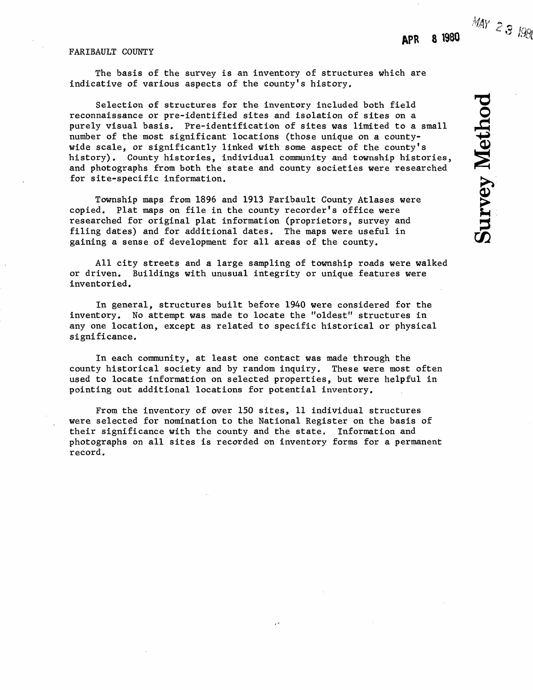$MAY$  2 3 1981

**Survey Method** 

# FARIBAULT COUNTY

The basis of the survey is an inventory of structures which are indicative of various aspects of the county's history.

Selection of structures for the inventory included both field reconnaissance or pre-identified sites and isolation of sites on a purely visual basis. Pre-identification of sites was limited to a small number of the most significant locations (those unique on a countywide scale, or significantly linked with some aspect of the county's history). County histories, individual community and township histories, and photographs from both the state and county societies were researched for site-specific information.

Township maps from 1896 and 1913 Faribault County Atlases were copied. Plat maps on file in the county recorder's office were researched for original plat information (proprietors, survey and filing dates) and for additional dates. The maps were useful in gaining a sense of development for all areas of the county.

All city streets and a large sampling of township roads were walked or driven. Buildings with unusual integrity or unique features were inventoried.

In general, structures built before 1940 were considered for the inventory. No attempt was made to locate the "oldest" structures in any one location, except as related to specific historical or physical significance.

In each community, at least one contact was made through the county historical society and by random inquiry. These were most often used to locate information on selected properties, but were helpful in pointing out additional locations for potential inventory.

From the inventory of over 150 sites, 11 individual structures were selected for nomination to the National Register on the basis of their significance with the county and the state. Information and photographs on all sites is recorded on inventory forms for a permanent record.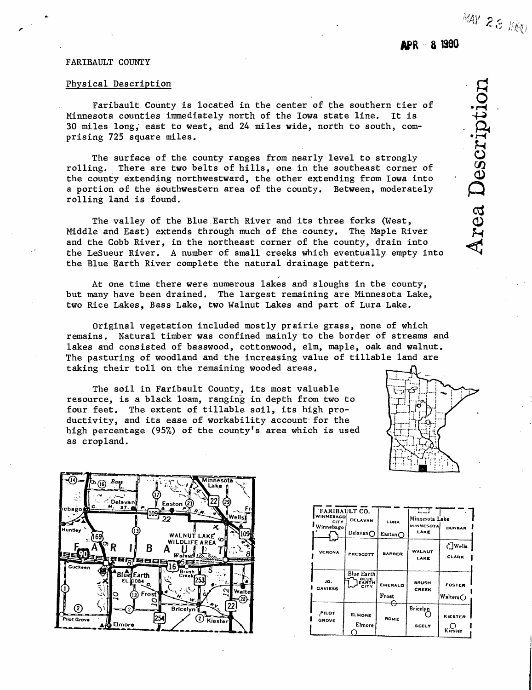# FARIBAULT COUNTY

# Physical Description

Faribault County is located in the center of the southern tier of Minnesota counties immediately north of the Iowa state line. It is 30 miles long, east to west, and 24 miles wide, north to south, comprising 725 square miles.

The surface of the county ranges from nearly level to strongly rolling. There are two belts of hills, one in the southeast corner of the county extending northwestward, the other extending from Iowa into a portion of the southwestern area of the county. Between, moderately rolling land is found.

The valley of the Blue.Earth River and its three forks (West, Middle and East) extends through much of the county. The Maple River and the Cobb River, in the northeast corner of the county, drain into the LeSueur River, A number of small creeks which eventually empty into the Blue Earth River complete the natural drainage pattern.

At one time there were numerous lakes and sloughs in the county, but many have been drained. The largest remaining are Minnesota Lake, two Rice Lakes, Bass Lake, two Walnut Lakes and part of Lura Lake.

Original vegetation included mostly prairie grass, none of which remains. Natural timber was confined mainly to the border of streams and lakes and consisted of basswood, cottonwood, elm, maple, oak and walnut. The pasturing of woodland and the increasing value of tillable land are taking their toll on the remaining wooded areas.

The soil in Faribault County, its most valuable resource, is a black loam, ranging in depth from two to four feet. The extent of tillable soil, its high productivity, and its ease of workability account for the high percentage (95%) of the county's area which is used as cropland.





| <b>FARIBAULT CO.</b>                                    |                                                   |                  | ur                                 |                       |
|---------------------------------------------------------|---------------------------------------------------|------------------|------------------------------------|-----------------------|
| WINNEBAGO<br><b>DELAVAN</b><br><b>CITY</b><br>Winnebago |                                                   | LURA             | Minnesota Lake<br><b>MINNESOTA</b> | <b>DUNBAR</b>         |
|                                                         | Delavan $\bigcap$                                 | Easton $\bigcap$ | LAKE                               |                       |
|                                                         |                                                   |                  |                                    | ( <sup>1</sup> ]Wells |
| <b>VERONA</b>                                           | PRESCOTT                                          | <b>BARBER</b>    | <b>WALNUT</b><br>LAKE              | <b>CLARK</b>          |
|                                                         |                                                   |                  |                                    |                       |
| JO.<br><b>DAVIESS</b>                                   | Blue Earth<br><b>BLUE</b><br>EARTH<br><b>CITY</b> | <b>EMERALD</b>   | <b>BRUSH</b><br><b>CREEK</b>       | <b>FOSTER</b>         |
|                                                         |                                                   | Frost            |                                    | Walters $\bigcirc$    |
| PILOT<br><b>GROVE</b>                                   | <b>ELMORE</b>                                     | ROME             | Bricelyn                           | <b>KIESTER</b>        |
|                                                         | Elmore                                            |                  | SEELY                              | Kiester               |

•rHo **-{-3**  $\tilde{\mathbf{C}}$  $\boldsymbol{\omega}$ ea  $\mathbf{F}$  $\blacktriangleleft$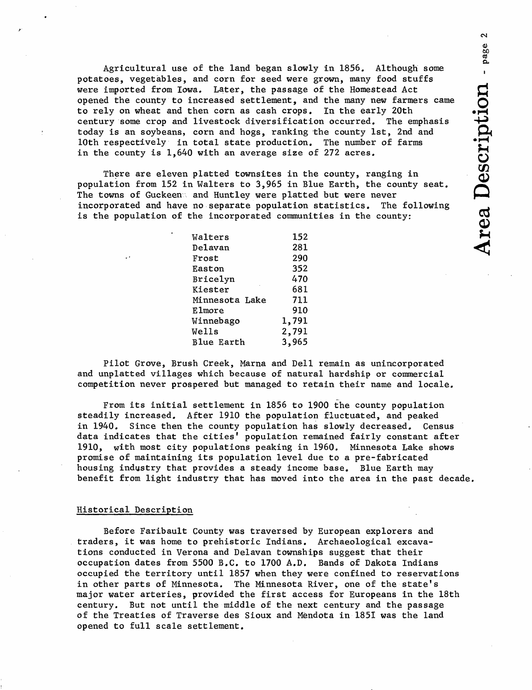Agricultural use of the land began slowly in 1856. Although some , potatoes, vegetables, and corn for seed were grown, many food stuffs were imported from Iowa. Later, the passage of the Homestead Act opened the county to increased settlement, and the many new farmers came to rely on wheat and then corn as cash crops. In the early 20th century some crop and livestock diversification occurred. The emphasis today is an soybeans, corn and hogs, ranking the county 1st, 2nd and 10th respectively in total state production. The number of farms in the county is  $1,640$  with an average size of 272 acres.

There are eleven platted townsites in the county, ranging in population from 152 in Walters to 3,965 in Blue Earth, the county seat. The towns of Guckeen and Huntley were platted but were never incorporated and have no separate population statistics. The following is the population of the incorporated communities in the county:

| Walters           | 152   |
|-------------------|-------|
| Delavan           | 281   |
| Frost             | 290   |
| Easton            | 352   |
| Bricelyn          | 470   |
| Kiester           | 681   |
| Minnesota Lake    | 711   |
| Elmore            | 910   |
| Winnebago         | 1,791 |
| <b>Wells</b>      | 2,791 |
| <b>Blue Earth</b> | 3,965 |

Pilot Grove, Brush Creek, Marna and Dell remain as unincorporated and unplatted villages which because of natural hardship or commercial competition never prospered but managed to retain their name and locale.

From its initial settlement in 1856 to 1900 the county population steadily increased. After 1910 the population fluctuated, and peaked in 1940. Since then the county population has slowly decreased. Census data indicates that the cities' population remained fairly constant after 1910, with most city populations peaking in 1960. Minnesota Lake shows promise of maintaining its population level due to a pre-fabricated housing industry that provides a steady income base. Blue Earth may benefit from light industry that has moved into the area in the past decade.

# Historical Description

Before Faribault County was traversed by European explorers and traders, it was home to prehistoric Indians. Archaeological excavations conducted in Verona and Delavan townships suggest that their occupation dates from 5500 B.C. to 1700 A.D. Bands of Dakota Indians occupied the territory until 1857 when they were confined to reservations in other parts of Minnesota. The Minnesota River, one of the state's major water arteries, provided the first access for Europeans in the 18th century. But not until the middle of the next century and the passage of the Treaties of Traverse des Sioux and Mendota in 1851 was the land opened to full scale settlement.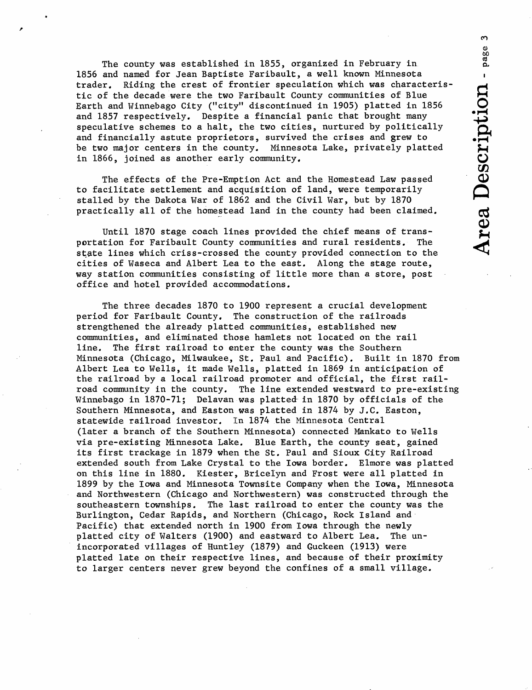The county was established in 1855, organized in February in 1856 and named for Jean Baptiste Faribault, a well known Minnesota trader. Riding the crest of frontier speculation which was characteristic of the decade were the two Faribault County communities of Blue Earth and Winnebago City ("city" discontinued in 1905) platted in 1856 and 1857 respectively. Despite a financial panic that brought many speculative schemes to a halt, the two cities, nurtured by politically and financially astute proprietors, survived the crises and grew to be two major centers in the county. Minnesota Lake, privately platted in 1866, joined as another early community.

en ŏŏ,

The effects of the Pre-Emption Act and the Homestead Law passed to facilitate settlement and acquisition of land, were temporarily stalled by the Dakota War of 1862 and the Civil War, but by 1870 practically all of the homestead land in the county had been claimed.

Until 1870 stage coach lines provided the chief means of transportation for Faribault County communities and rural residents. The state lines which criss-crossed the county provided connection to the cities of Waseca and Albert Lea to the east. Along the stage route, way station communities consisting of little more than a store, post office and hotel provided accommodations.

The three decades 1870 to 1900 represent a crucial development period for Faribault County. The construction of the railroads strengthened the already platted communities, established new communities, and eliminated those hamlets not located on the rail line. The first railroad to enter the county was the Southern Minnesota (Chicago, Milwaukee, St. Paul and Pacific). Built in 1870 from Albert Lea to Wells, it made Wells, platted in 1869 in anticipation of the railroad by a local railroad promoter and official, the first railroad community in the county. The line extended westward to pre-existing Winnebago in 1870-71; Delavan was platted in 1870 by officials of the Southern Minnesota, and Easton was platted in 1874 by J.C. Easton, statewide railroad investor. In 1874 the Minnesota Central (later a branch of the Southern Minnesota) connected Mankato to Wells via pre-existing Minnesota Lake. Blue Earth, the county seat, gained its first trackage in 1879 when the St. Paul and Sioux City Railroad extended south from Lake Crystal to the Iowa border. Elmore was platted on this line in 1880. Kiester, Bricelyn and Frost were all platted in 1899 by the Iowa and Minnesota Townsite Company when the Iowa, Minnesota and Northwestern (Chicago and Northwestern) was constructed through the southeastern townships. The last railroad to enter the county was the Burlington, Cedar Rapids, and Northern (Chicago, Rock Island and Pacific) that extended north in 1900 from Iowa through the newly platted city of Walters (1900) and eastward to Albert Lea. The unincorporated villages of Huntley (1879) and Guckeen (1913) were platted late on their respective lines, and because of their proximity to larger centers never grew beyond the confines of a small village.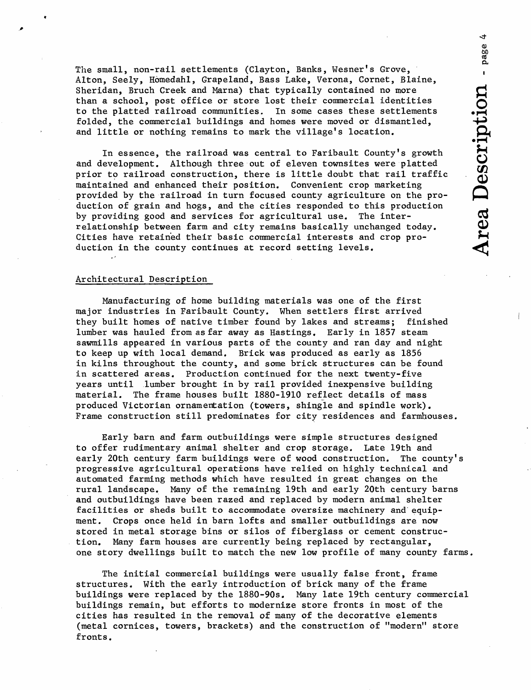$\ddot{\phantom{0}}$ **60**cd a

The small, non-rail settlements (Clayton, Banks, Wesner's Grove, Alton, Seely, Homedahl, Grapeland, Bass Lake, Verona, Cornet, Blaine, Sheridan, Bruch Creek and Marna) that typically contained no more than a school, post office or store lost their commercial identities to the platted railroad communities. In some cases these settlements folded, the commercial buildings and homes were moved or dismantled, and little or nothing remains to mark the village's location.

In essence, the railroad was central to Faribault County's growth and development. Although three out of eleven townsites were platted prior to railroad construction, there is little doubt that rail traffic maintained and enhanced their position. Convenient crop marketing provided by the railroad in turn focused county agriculture on the production of grain and hogs, and the cities responded to this production by providing good and services for agricultural use. The interrelationship between farm and city remains basically unchanged today. Cities have retained their basic commercial interests and crop production in the county continues at record setting levels.

# Architectural Description

Manufacturing of home building materials was one of the first major industries in Faribault County. When settlers first arrived they built homes of native timber found by lakes and streams; finished lumber was hauled from as far away as Hastings. Early in 1857 steam sawmills appeared in various parts of the county and ran day and night to keep up with local demand. Brick was produced as early as 1856 in kilns throughout the county, and some brick structures can be found in scattered areas. Production continued for the next twenty- five years until lumber brought in by rail provided inexpensive building material. The frame houses built 1880-1910 reflect details of mass produced Victorian ornamentation (towers, shingle and spindle work). Frame construction still predominates for city residences and farmhouses.

Early barn and farm outbuildings were simple structures designed to offer rudimentary animal shelter and crop storage. Late 19th and early 20th century farm buildings were of wood construction. The county's progressive agricultural operations have relied on highly technical and automated farming methods which have resulted in great changes on the rural landscape. Many of the remaining 19th and early 20th century barns and outbuildings have been razed and replaced by modern animal shelter facilities or sheds built to accommodate oversize machinery and equipment. Crops once held in barn lofts and smaller outbuildings are now stored in metal storage bins or silos of fiberglass or cement construction. Many farm houses are currently being replaced by rectangular, one story dwellings built to match the new low profile of many county farms.

The initial commercial buildings were usually false front, frame structures. With the early introduction of brick many of the frame buildings were replaced by the 1880-90s. Many late 19th century commercial buildings remain, but efforts to modernize store fronts in most of the cities has resulted in the removal of many of the decorative elements (metal cornices, towers, brackets) and the construction of "modern" store fronts.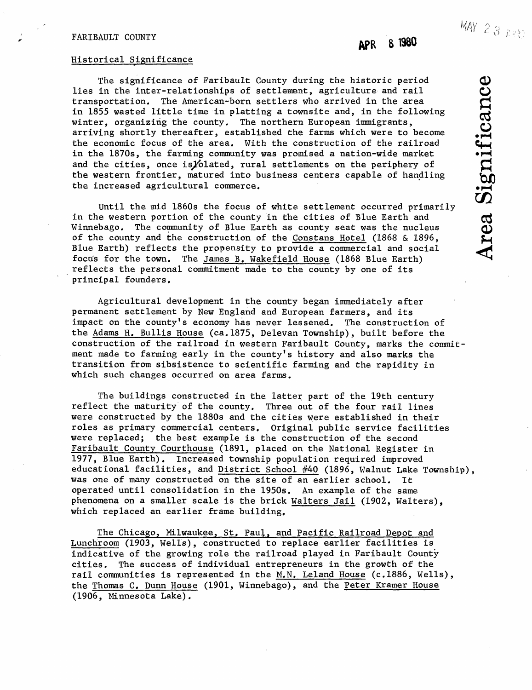# FARIBAULT COUNTY

#### Historical Significance

The significance of Faribault County during the historic period lies in the inter-relationships of settlement, agriculture and rail transportation. The American-born settlers who arrived in the area in 1855 wasted little time in platting a townsite and, in the following winter, organizing the county. The northern European immigrants, arriving shortly thereafter, established the farms which were to become the economic focus of the area. With the construction of the railroad The significance of Faribault County during the historic period<br>
lies in the inter-relationships of settlement, agriculture and rail<br>
transportation. The American-born settlers who arrived in the area<br>
in 1855 wasted littl and the cities, once is folated, rural settlements on the periphery of the western frontier, matured into business centers capable of handling the increased agricultural commerce.

Until the mid 1860s the focus of white settlement occurred primarily in the western portion of the county in the cities of Blue Earth and Winnebago. The community of Blue Earth as county seat was the nucleus of the county and the construction of the Constans Hotel (1868 & 1896, Blue Earth) reflects the propensity to provide a commercial and social focus for the town. The James B. Wakefield House (1868 Blue Earth) reflects the personal commitment made to the county by one of its principal founders.

Agricultural development in the county began immediately after permanent settlement by New England and European farmers, and its impact on the county's economy has never lessened. The construction of the Adams H, Bullis House (ca.1875, Delevan Township), built before the construction of the railroad in western Faribault County, marks the commitment made to farming early in the county's history and also marks the transition from sibsistence to scientific farming and the rapidity in which such changes occurred on area farms.

The buildings constructed in the latter part of the 19th century reflect the maturity of the county. Three out of the four rail lines were constructed by the 1880s and the cities were established in their roles as primary commercial centers. Original public service facilities were replaced; the best example is the construction of the second Faribault County Courthouse (1891, placed on the National Register in 1977, Blue Earth), Increased township population required improved educational facilities, and District School #40 (1896, Walnut Lake Township), was one of many constructed on the site of an earlier school. It operated until consolidation in the 1950s. An example of the same phenomena on a smaller scale is the brick Walters Jail (1902, Walters), which replaced an earlier frame building.

The Chicago, Milwaukee, St. Paul, and Pacific Railroad Depot and Lunchroom (1903, Wells), constructed to replace earlier facilities is indicative of the growing role the railroad played in Faribault County cities. The success of individual entrepreneurs in the growth of the rail communities is represented in the M.N. Leland House (c.1886, Wells), the Thomas C. Dunn House (1901, Winnebago), and the Peter Kramer House (1906, Minnesota Lake).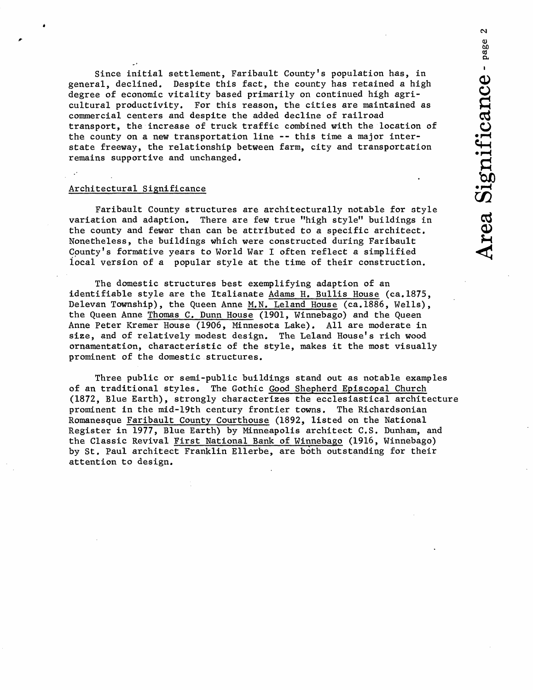Since initial settlement, Faribault County's population has, in general, declined. Despite this fact, the county has retained a high degree of economic vitality based primarily on continued high agricultural productivity. For this reason, the cities are maintained as commercial centers and despite the added decline of railroad transport, the increase of truck traffic combined with the location of the county on a new transportation line -- this time a major interstate freeway, the relationship between farm, city and transportation remains supportive and unchanged.

# Architectural Significance

Faribault County structures are architecturally notable for style variation and adaption. There are few true "high style" buildings in the county and fewer than can be attributed to a specific architect, Nonetheless, the buildings which were constructed during Faribault County's formative years to World War I often reflect a simplified local version of a popular style at the time of their construction.

The domestic structures best exemplifying adaption of an identifiable style are the Italianate Adams H. Bullis House (ca.1875, Delevan Township), the Queen Anne M.N. Leland House (ca.1886, Wells), the Queen Anne Thomas C. Dunn House (1901, Winnebago) and the Queen Anne Peter Kremer House (1906, Minnesota Lake). All are moderate in size, and of relatively modest design. The Leland House's rich wood ornamentation, characteristic of the style, makes it the most visually prominent of the domestic structures.

Three public or semi-public buildings stand out as notable examples of an traditional styles. The Gothic Good Shepherd Episcopal Church (1872, Blue Earth), strongly characterizes the ecclesiastical architecture prominent in the mid-19th century frontier towns. The Richardsonian Romanesque Faribault County Courthouse (1892, listed on the National Register in 1977, Blue Earth) by Minneapolis architect C.S, Dunham, and the Classic Revival first National Bank of Winnebago (1916, Winnebago) by St. Paul architect Franklin Ellerbe, are both outstanding for their attention to design.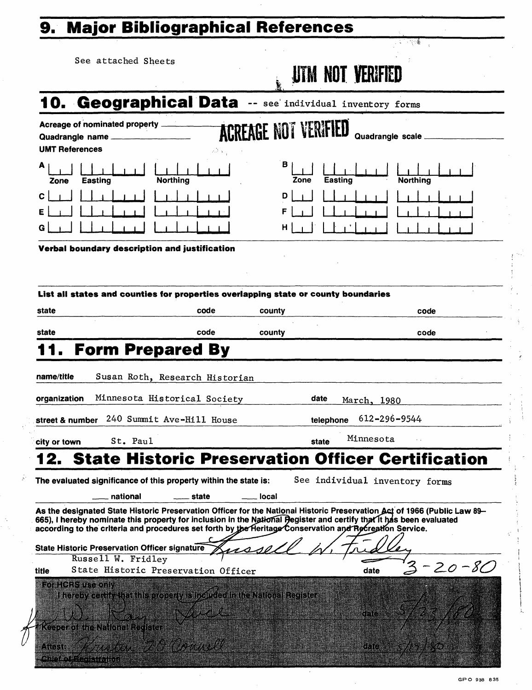# **9. Major Bibliographical References**

|                                   | See attached Sheets                                                                                                                                                                                                                                                                                                                                                                                         |                             | <b>UTM NOT VERIFIED</b> |                                |
|-----------------------------------|-------------------------------------------------------------------------------------------------------------------------------------------------------------------------------------------------------------------------------------------------------------------------------------------------------------------------------------------------------------------------------------------------------------|-----------------------------|-------------------------|--------------------------------|
|                                   | 10. Geographical Data -- see individual inventory forms                                                                                                                                                                                                                                                                                                                                                     |                             |                         |                                |
| Quadrangle name<br>UMT References | <b>Acreage of nominated property</b>                                                                                                                                                                                                                                                                                                                                                                        | <b>ACREAGE NOT VERIFIED</b> |                         | Quadrangle scale               |
| А<br>Zone                         | <b>Northing</b><br><b>Easting</b>                                                                                                                                                                                                                                                                                                                                                                           | в<br>Zone                   | <b>Easting</b>          | <b>Northing</b>                |
|                                   |                                                                                                                                                                                                                                                                                                                                                                                                             | D<br>н                      |                         |                                |
|                                   | Verbal boundary description and justification                                                                                                                                                                                                                                                                                                                                                               |                             |                         |                                |
|                                   | List all states and counties for properties overlapping state or county boundaries                                                                                                                                                                                                                                                                                                                          |                             |                         |                                |
| state                             | code                                                                                                                                                                                                                                                                                                                                                                                                        | county                      |                         | code                           |
| state                             | code                                                                                                                                                                                                                                                                                                                                                                                                        | county                      |                         | code                           |
|                                   | <b>Form Prepared By</b>                                                                                                                                                                                                                                                                                                                                                                                     |                             |                         |                                |
| name/title                        | Susan Roth, Research Historian                                                                                                                                                                                                                                                                                                                                                                              |                             |                         |                                |
| organization                      | Minnesota Historical Society                                                                                                                                                                                                                                                                                                                                                                                |                             | date                    | March, 1980                    |
| street & number                   | 240 Summit Ave-Hill House                                                                                                                                                                                                                                                                                                                                                                                   |                             | telephone               | $612 - 296 - 9544$             |
| city or town                      | St. Paul                                                                                                                                                                                                                                                                                                                                                                                                    |                             | state                   | Minnesota                      |
| 12.                               | <b>State Historic Preservation Officer Certification</b>                                                                                                                                                                                                                                                                                                                                                    |                             |                         |                                |
|                                   | The evaluated significance of this property within the state is:<br>national<br>state                                                                                                                                                                                                                                                                                                                       | local                       |                         | See individual inventory forms |
|                                   | As the designated State Historic Preservation Officer for the National Historic Preservation Act of 1966 (Public Law 89-<br>665), I hereby nominate this property for inclusion in the National Pegister and certify that it has been evaluated<br>according to the criteria and procedures set forth by the Heritage Conservation and Recreation Service.<br>State Historic Preservation Officer signature |                             |                         |                                |
|                                   | Russell W. Fridley                                                                                                                                                                                                                                                                                                                                                                                          |                             |                         | $20 - 80$                      |
| title<br>For HCRS use only        | State Historic Preservation Officer<br>I hereby centify that this property is included in the National Register<br>Keeper of the National Register                                                                                                                                                                                                                                                          |                             |                         | date<br>dara                   |
| Airsia                            | madas a CH Chancel                                                                                                                                                                                                                                                                                                                                                                                          |                             |                         | 6h C                           |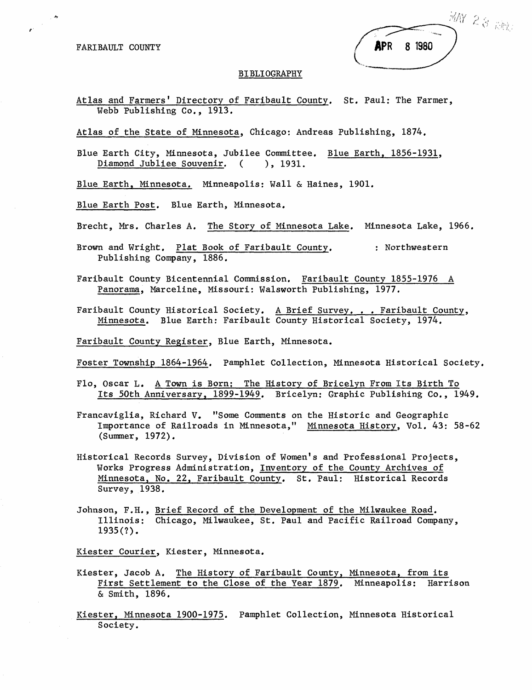FARIBAULT COUNTY

 $\label{eq:2} \frac{1}{\sqrt{2\pi}}\int_{0}^{\frac{\pi}{2}}\frac{d\theta}{\sqrt{2\pi}}\,d\theta$ 

|                   |  | $^5$ MN 28 $^5$ RMz |  |
|-------------------|--|---------------------|--|
| <b>APR 8 1980</b> |  |                     |  |
|                   |  |                     |  |

#### BIBLIOGRAPHY

Atlas and Farmers' Directory of Faribault County. St. Paul: The Farmer, Webb Publishing Co., 1913.

Atlas of the State of Minnesota, Chicago: Andreas Publishing, 1874.

Blue Earth City, Minnesota, Jubilee Committee. Blue Earth, 1856-1931, Diamond Jubliee Souvenir. ( ), 1931.

Blue Earth, Minnesota. Minneapolis: Wall & Haines, 1901.

Blue Earth Post. Blue Earth, Minnesota.

Brecht, Mrs. Charles A. The Story of Minnesota Lake. Minnesota Lake, 1966.

Brown and Wright. Plat Book of Faribault County. : Northwestern Publishing Company, 1886.

Faribault County Bicentennial Commission. Faribault County 1855-1976 A Panorama, Marceline, Missouri: Walsworth Publishing, 1977.

Faribault County Historical Society. A Brief Survey. . . Faribault County, Minnesota. Blue Earth: Faribault County Historical Society, 1974,

Faribault County Register, Blue Earth, Minnesota.

Foster Township 1864-1964. Pamphlet Collection, Minnesota Historical Society.

- Flo, Oscar L. A Town is Born; The History of Bricelyn From Its Birth To Its 50th Anniversary, 1899-1949. Bricelyn: Graphic Publishing Co., 1949.
- Francaviglia, Richard V. "Some Comments on the Historic and Geographic Importance of Railroads in Minnesota," Minnesota History, Vol. 43: 58-62 (Summer, 1972).
- Historical Records Survey, Division of Women's and Professional Projects, Works Progress Administration, Inventory of the County Archives of Minnesota, No. 22, Faribault County. St. Paul: Historical Records Survey, 1938.
- Johnson, F.H., Brief Record of the Development of the Milwaukee Road. Illinois: Chicago, Milwaukee, St. Paul and Pacific Railroad Company,  $1935(?)$ .

Kiester Courier, Kiester, Minnesota.

- Kiester, Jacob A. The History of Faribault County, Minnesota, from its First Settlement to the Close of the Year 1879. Minneapolis: Harrison & Smith, 1896.
- Kiester, Minnesota 1900-1975. Pamphlet Collection, Minnesota Historical Society.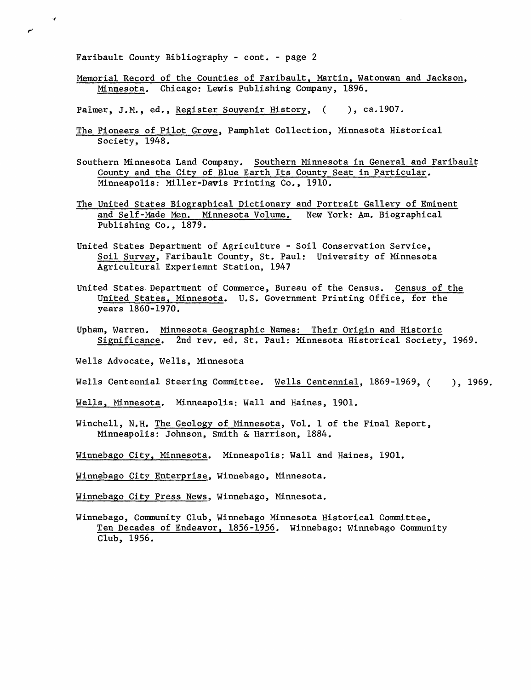Faribault County Bibliography - cont. - page 2

 $\cdot$  .

Memorial Record of the Counties of Faribault, Martin, Watonwan and Jackson, Minnesota, Chicago: Lewis Publishing Company, 1896.

Palmer, J.M., ed., Register Souvenir History, (b. ca.1907.

- The Pioneers of Pilot Grove, Pamphlet Collection, Minnesota Historical Society, 1948.
- Southern Minnesota Land Company. Southern Minnesota in General and Faribault County and the City of Blue Earth Its County Seat in Particular. Minneapolis: Miller-Davis Printing Co., 1910.
- The United States Biographical Dictionary and Portrait Gallery of Eminent and Self-Made Men. Minnesota Volume. New York: Am. Biographical Publishing Co., 1879.
- United States Department of Agriculture Soil Conservation Service, Soil Survey, Faribault County, St. Paul: University of Minnesota Agricultural Experiemnt Station, 1947
- United States Department of Commerce, Bureau of the Census. Census of the United States, Minnesota. U.S. Government Printing Office, for the years 1860-1970.
- Upham, Warren. Minnesota Geographic Names; Their Origin and Historic Significance. 2nd rev. ed. St. Paul: Minnesota Historical Society, 1969.
- Wells Advocate, Wells, Minnesota
- Wells Centennial Steering Committee. Wells Centennial, 1869-1969, ( ), 1969.
- Wells, Minnesota. Minneapolis: Wall and Haines, 1901.
- Winchell, N.H. The Geology of Minnesota, Vol. 1 of the Final Report, Minneapolis: Johnson, Smith & Harrison, 1884.
- Winnebago City, Minnesota. Minneapolis: Wall and Haines, 1901.
- Winnebago City Enterprise, Winnebago, Minnesota.
- Winnebago City Press News, Winnebago, Minnesota.
- Winnebago, Community Club, Winnebago Minnesota Historical Committee, Ten Decades of Endeavor, 1856-1956. Winnebago: Winnebago Community Club, 1956.